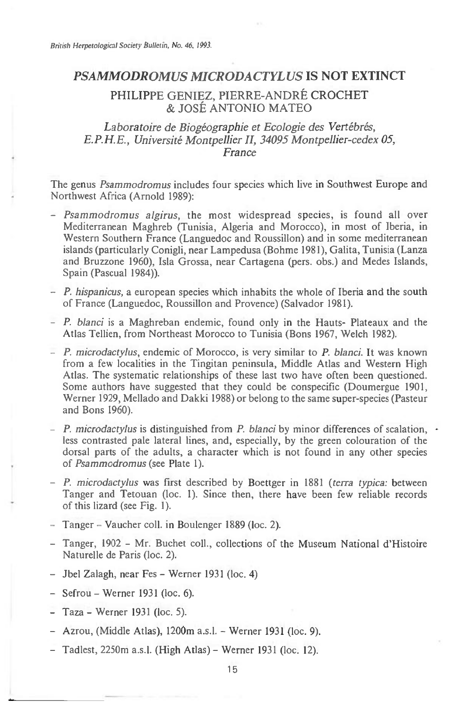## *PSAMMODROMUS MICRODACTYLUS* **IS NOT EXTINCT**

# PHILIPPE GENIEZ, PIERRE-ANDRE CROCHET & JOSE ANTONIO MATEO

## Laboratoire de Biogéographie et Ecologie des Vertébrés, *E.P.H.E., Universite Montpellier II, 34095 Montpellier-cedex 05, France*

The genus *Psammodromus* includes four species which live in Southwest Europe and Northwest Africa (Arnold 1989):

- *Psammodromus algirus,* the most widespread species, is found all over Mediterranean Maghreb (Tunisia, Algeria and Morocco), in most of Iberia, in Western Southern France (Languedoc and Roussillon) and in some mediterranean islands (particularly Conigli, near Lampedusa (Bohme 1981), Galita, Tunisia (Lanza and Bruzzone 1960), Isla Grossa, near Cartagena (pers. obs.) and Medes Islands, Spain (Pascual 1984)).
- *P. hispanicus,* a european species which inhabits the whole of Iberia and the south of France (Languedoc, Roussillon and Provence) (Salvador 1981).
- *P. bland* is a Maghreban endemic, found only in the Hauts- Plateaux and the Atlas Tellien, from Northeast Morocco to Tunisia (Bons 1967, Welch 1982).
- *P. microdactylus,* endemic of Morocco, is very similar to *P. bland.* It was known from a few localities in the Tingitan peninsula, Middle Atlas and Western High Atlas. The systematic relationships of these last two have often been questioned. Some authors have suggested that they could be conspecific (Doumergue 1901, Werner 1929, Mellado and Dakki 1988) or belong to the same super-species (Pasteur and Bons 1960).
- *P. microdactylus* is distinguished from *P. blanci* by minor differences of scalation,  $\cdot$ less contrasted pale lateral lines, and, especially, by the green colouration of the dorsal parts of the adults, a character which is not found in any other species of *Psammodromus* (see Plate 1).
- *P. microdactylus* was first described by Boettger in 1881 *(terra typica:* between Tanger and Tetouan (loc. 1). Since then, there have been few reliable records of this lizard (see Fig. 1).
- Tanger Vaucher coll. in Boulenger 1889 (loc. 2).
- Tanger, 1902 Mr. Buchet coll., collections of the Museum National d'Histoire Naturelle de Paris (loc. 2).
- Jbel Zalagh, near Fes Werner 1931 (loc. 4)
- Sefrou Werner 1931 (loc. 6).
- Taza Werner 1931 (loc. 5).
- Azrou, (Middle Atlas), 1200m a.s.l. Werner 1931 (loc. 9).
- Tadlest, 2250m a.s.l. (High Atlas) Werner 1931 (loc. 12).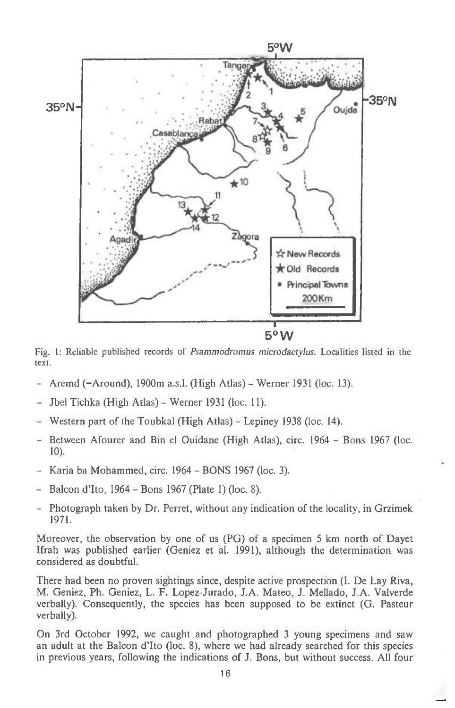

Fig. I: Reliable published records of *Psammodromus microdactylus.* Localities listed in the text.

- Aremd (=Around), 1900m a.s.l. (High Atlas) Werner 1931 (loc. 13).
- Jbel Tichka (High Atlas) Werner 1931 (loc. 11).
- Western part of the Toubkal (High Atlas) Lepiney 1938 (loc. 14).
- Between Afourer and Bin el Ouidane (High Atlas), circ. 1964 Bons 1967 (loc. 10).
- Karia ba Mohammed, circ. 1964 BONS 1967 (loc. 3).
- Balcon d'Ito, 1964 Bons 1967 (Plate 1) (loc. 8).
- Photograph taken by Dr. Perret, without any indication of the locality, in Grzimek 1971.

Moreover, the observation by one of us (PG) of a specimen 5 km north of Dayet Ifrah was published earlier (Geniez et al. 1991), although the determination was considered as doubtful.

There had been no proven sightings since, despite active prospection (I. De Lay Riva, M. Geniez, Ph. Geniez, L. F. Lopez-Jurado, J.A. Mateo, J. Mellado, J.A. Valverde verbally). Consequently, the species has been supposed to be extinct (G. Pasteur verbally).

On 3rd October 1992, we caught and photographed 3 young specimens and saw an adult at the Balcon d'Ito (loc. 8), where we had already searched for this species in previous years, following the indications of J. Bons, but without success. All four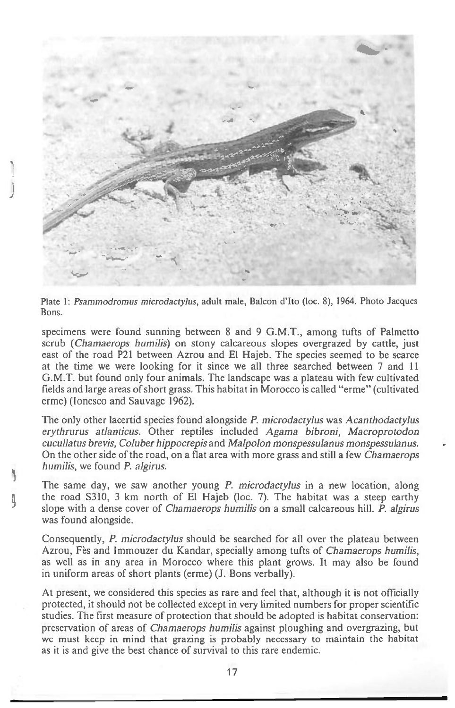

Plate 1: *Psammodromus microdactylus,* adult male, Balcon d'Ito (loc. 8), 1964. Photo Jacques Bons.

specimens were found sunning between 8 and 9 G.M.T., among tufts of Palmetto scrub *(Chamaerops humilis)* on stony calcareous slopes overgrazed by cattle, just east of the road P21 between Azrou and El Hajeb. The species seemed to be scarce at the time we were looking for it since we all three searched between 7 and 11 G.M.T. but found only four animals. The landscape was a plateau with few cultivated fields and large areas of short grass. This habitat in Morocco is called "erme" (cultivated erme) (Ionesco and Sauvage 1962).

The only other lacertid species found alongside *P. microdactylus* was *Acanthodactylus erythrurus atlanticus.* Other reptiles included *Agama bibroni, Macroprotodon cucullatus brevis, Coluber hippocrepis* and *Malpolon monspessulanus monspessulanus.*  On the other side of the road, on a flat area with more grass and still a few *Chamaerops humilis,* we found *P. algirus.* 

The same day, we saw another young *P. microdactylus* in a new location, along the road 5310, 3 km north of El Hajeb (loc. 7). The habitat was a steep earthy slope with a dense cover of *Chamaerops humilis* on a small calcareous hill. *P. algirus*  was found alongside.

Ŋ

Consequently, *P. microdactylus* should be searched for all over the plateau between Azrou, Fes and Immouzer du Kandar, specially among tufts of *Chamaerops humilis,*  as well as in any area in Morocco where this plant grows. It may also be found in uniform areas of short plants (erme) (J. Bons verbally).

At present, we considered this species as rare and feel that, although it is not officially protected, it should not be collected except in very limited numbers for proper scientific studies. The first measure of protection that should be adopted is habitat conservation: preservation of areas of *Chamaerops humilis* against ploughing and overgrazing, but we must keep in mind that grazing is probably necessary to maintain the habitat as it is and give the best chance of survival to this rare endemic.